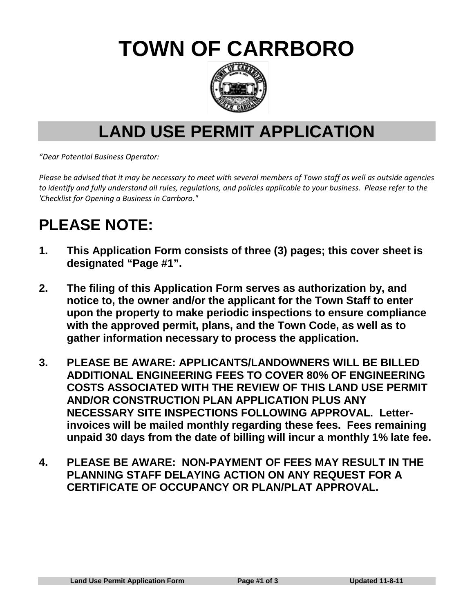**TOWN OF CARRBORO**



# **LAND USE PERMIT APPLICATION**

*"Dear Potential Business Operator:*

*Please be advised that it may be necessary to meet with several members of Town staff as well as outside agencies to identify and fully understand all rules, regulations, and policies applicable to your business. Please refer to the 'Checklist for Opening a Business in Carrboro."*

# **PLEASE NOTE:**

- **1. This Application Form consists of three (3) pages; this cover sheet is designated "Page #1".**
- **2. The filing of this Application Form serves as authorization by, and notice to, the owner and/or the applicant for the Town Staff to enter upon the property to make periodic inspections to ensure compliance with the approved permit, plans, and the Town Code, as well as to gather information necessary to process the application.**
- **3. PLEASE BE AWARE: APPLICANTS/LANDOWNERS WILL BE BILLED ADDITIONAL ENGINEERING FEES TO COVER 80% OF ENGINEERING COSTS ASSOCIATED WITH THE REVIEW OF THIS LAND USE PERMIT AND/OR CONSTRUCTION PLAN APPLICATION PLUS ANY NECESSARY SITE INSPECTIONS FOLLOWING APPROVAL. Letterinvoices will be mailed monthly regarding these fees. Fees remaining unpaid 30 days from the date of billing will incur a monthly 1% late fee.**
- **4. PLEASE BE AWARE: NON-PAYMENT OF FEES MAY RESULT IN THE PLANNING STAFF DELAYING ACTION ON ANY REQUEST FOR A CERTIFICATE OF OCCUPANCY OR PLAN/PLAT APPROVAL.**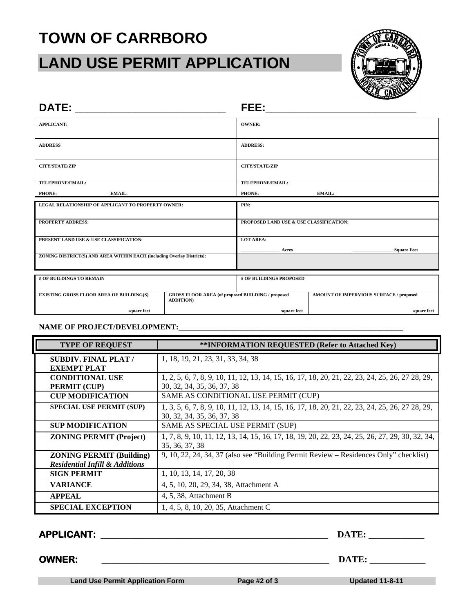# **TOWN OF CARRBORO**

## **LAND USE PERMIT APPLICATION**



| DATE:                                                                  |                                                                               | FEE:                                    | <u> 1980 - Jan Barbara Barbara, manazarta da kas</u> |
|------------------------------------------------------------------------|-------------------------------------------------------------------------------|-----------------------------------------|------------------------------------------------------|
| <b>APPLICANT:</b>                                                      |                                                                               | <b>OWNER:</b>                           |                                                      |
| <b>ADDRESS</b>                                                         |                                                                               | <b>ADDRESS:</b>                         |                                                      |
| <b>CITY/STATE/ZIP</b>                                                  |                                                                               | <b>CITY/STATE/ZIP</b>                   |                                                      |
| <b>TELEPHONE/EMAIL:</b>                                                |                                                                               | <b>TELEPHONE/EMAIL:</b>                 |                                                      |
| PHONE:<br>EMAIL:                                                       |                                                                               | <b>PHONE:</b><br><b>EMAIL:</b>          |                                                      |
| LEGAL RELATIONSHIP OF APPLICANT TO PROPERTY OWNER:                     |                                                                               | PIN:                                    |                                                      |
|                                                                        |                                                                               |                                         |                                                      |
| <b>PROPERTY ADDRESS:</b>                                               |                                                                               | PROPOSED LAND USE & USE CLASSIFICATION: |                                                      |
| PRESENT LAND USE & USE CLASSIFICATION:                                 |                                                                               | <b>LOT AREA:</b>                        |                                                      |
|                                                                        |                                                                               | Acres                                   | <b>Square Feet</b>                                   |
| ZONING DISTRICT(S) AND AREA WITHIN EACH (including Overlay Districts): |                                                                               |                                         |                                                      |
|                                                                        |                                                                               |                                         |                                                      |
| # OF BUILDINGS TO REMAIN                                               |                                                                               | # OF BUILDINGS PROPOSED                 |                                                      |
| <b>EXISTING GROSS FLOOR AREA OF BUILDING(S)</b>                        | <b>GROSS FLOOR AREA (of proposed BUILDING / proposed</b><br><b>ADDITION</b> ) |                                         | AMOUNT OF IMPERVIOUS SURFACE / proposed              |
| square feet                                                            |                                                                               | square feet                             | square feet                                          |
|                                                                        |                                                                               |                                         |                                                      |

## **NAME OF PROJECT/DEVELOPMENT:\_\_\_\_\_\_\_\_\_\_\_\_\_\_\_\_\_\_\_\_\_\_\_\_\_\_\_\_\_\_\_\_\_\_\_\_\_\_\_\_\_\_\_\_\_\_\_\_\_\_\_\_\_\_\_\_\_\_**

| <b>TYPE OF REQUEST</b>                    | ** INFORMATION REQUESTED (Refer to Attached Key)                                                 |
|-------------------------------------------|--------------------------------------------------------------------------------------------------|
| <b>SUBDIV. FINAL PLAT/</b>                | 1, 18, 19, 21, 23, 31, 33, 34, 38                                                                |
| <b>EXEMPT PLAT</b>                        |                                                                                                  |
| <b>CONDITIONAL USE</b>                    | 1, 2, 5, 6, 7, 8, 9, 10, 11, 12, 13, 14, 15, 16, 17, 18, 20, 21, 22, 23, 24, 25, 26, 27, 28, 29, |
| PERMIT (CUP)                              | 30, 32, 34, 35, 36, 37, 38                                                                       |
| <b>CUP MODIFICATION</b>                   | SAME AS CONDITIONAL USE PERMIT (CUP)                                                             |
| <b>SPECIAL USE PERMIT (SUP)</b>           | 1, 3, 5, 6, 7, 8, 9, 10, 11, 12, 13, 14, 15, 16, 17, 18, 20, 21, 22, 23, 24, 25, 26, 27 28, 29,  |
|                                           | 30, 32, 34, 35, 36, 37, 38                                                                       |
| <b>SUP MODIFICATION</b>                   | SAME AS SPECIAL USE PERMIT (SUP)                                                                 |
| <b>ZONING PERMIT (Project)</b>            | 1, 7, 8, 9, 10, 11, 12, 13, 14, 15, 16, 17, 18, 19, 20, 22, 23, 24, 25, 26, 27, 29, 30, 32, 34,  |
|                                           | 35, 36, 37, 38                                                                                   |
| <b>ZONING PERMIT (Building)</b>           | 9, 10, 22, 24, 34, 37 (also see "Building Permit Review – Residences Only" checklist)            |
| <b>Residential Infill &amp; Additions</b> |                                                                                                  |
| <b>SIGN PERMIT</b>                        | 1, 10, 13, 14, 17, 20, 38                                                                        |
| <b>VARIANCE</b>                           | 4, 5, 10, 20, 29, 34, 38, Attachment A                                                           |
| <b>APPEAL</b>                             | 4, 5, 38, Attachment B                                                                           |
| <b>SPECIAL EXCEPTION</b>                  | 1, 4, 5, 8, 10, 20, 35, Attachment C                                                             |

**APPLICANT: \_\_\_\_\_\_\_\_\_\_\_\_\_\_\_\_\_\_\_\_\_\_\_\_\_\_\_\_\_\_\_\_\_\_\_\_\_\_\_\_\_\_\_\_\_\_\_\_\_ DATE: \_\_\_\_\_\_\_\_\_\_\_\_**

**OWNER: \_\_\_\_\_\_\_\_\_\_\_\_\_\_\_\_\_\_\_\_\_\_\_\_\_\_\_\_\_\_\_\_\_\_\_\_\_\_\_\_\_\_\_\_\_\_\_\_\_ DATE: \_\_\_\_\_\_\_\_\_\_\_\_**

**Land Use Permit Application Form Page #2 of 3 Updated 11-8-11**